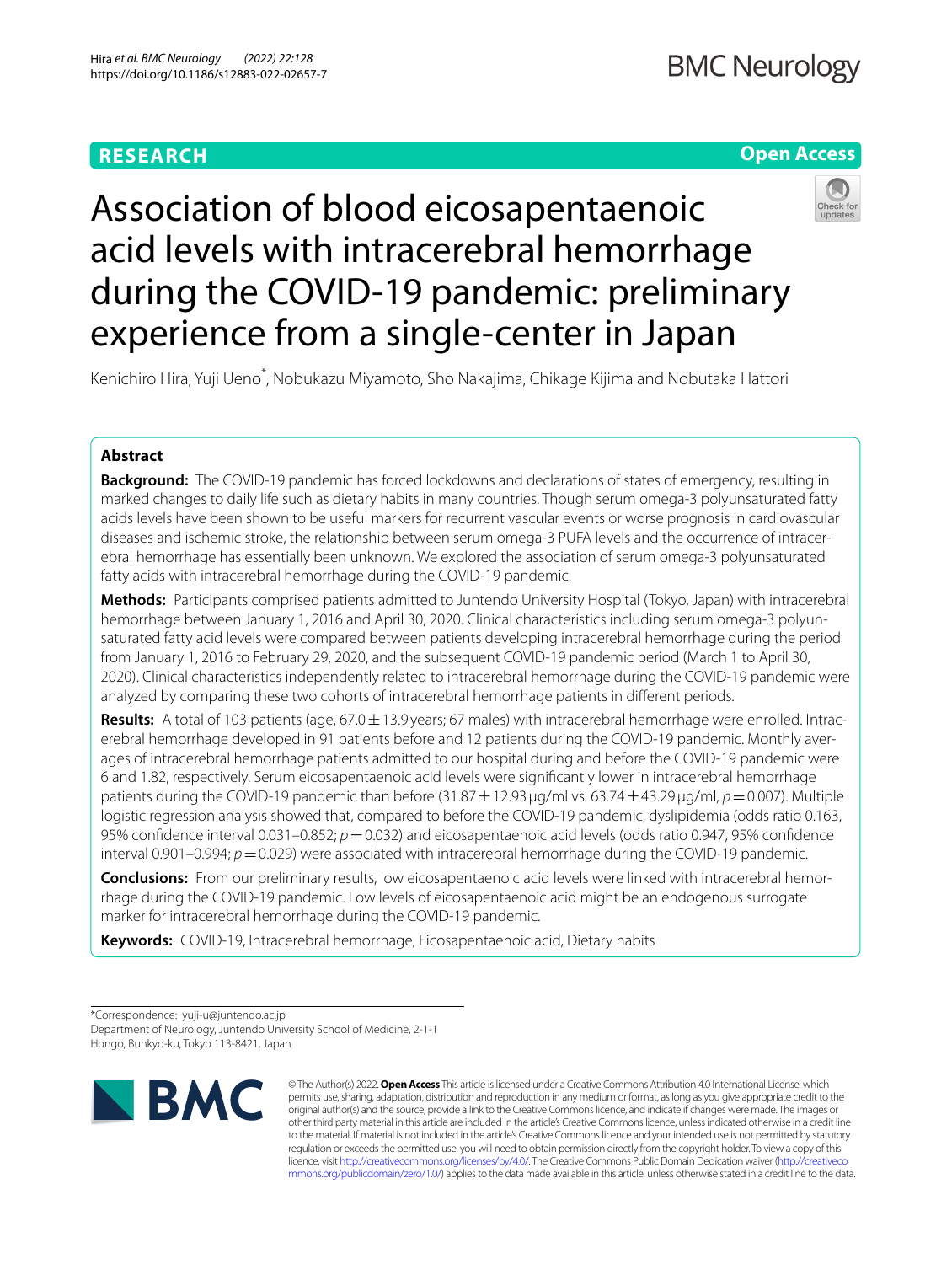# **RESEARCH**

# **Open Access**



# Association of blood eicosapentaenoic acid levels with intracerebral hemorrhage during the COVID-19 pandemic: preliminary experience from a single-center in Japan

Kenichiro Hira, Yuji Ueno<sup>\*</sup>, Nobukazu Miyamoto, Sho Nakajima, Chikage Kijima and Nobutaka Hattori

## **Abstract**

**Background:** The COVID-19 pandemic has forced lockdowns and declarations of states of emergency, resulting in marked changes to daily life such as dietary habits in many countries. Though serum omega-3 polyunsaturated fatty acids levels have been shown to be useful markers for recurrent vascular events or worse prognosis in cardiovascular diseases and ischemic stroke, the relationship between serum omega-3 PUFA levels and the occurrence of intracerebral hemorrhage has essentially been unknown. We explored the association of serum omega-3 polyunsaturated fatty acids with intracerebral hemorrhage during the COVID-19 pandemic.

**Methods:** Participants comprised patients admitted to Juntendo University Hospital (Tokyo, Japan) with intracerebral hemorrhage between January 1, 2016 and April 30, 2020. Clinical characteristics including serum omega-3 polyunsaturated fatty acid levels were compared between patients developing intracerebral hemorrhage during the period from January 1, 2016 to February 29, 2020, and the subsequent COVID-19 pandemic period (March 1 to April 30, 2020). Clinical characteristics independently related to intracerebral hemorrhage during the COVID-19 pandemic were analyzed by comparing these two cohorts of intracerebral hemorrhage patients in diferent periods.

**Results:** A total of 103 patients (age, 67.0±13.9 years; 67 males) with intracerebral hemorrhage were enrolled. Intracerebral hemorrhage developed in 91 patients before and 12 patients during the COVID-19 pandemic. Monthly averages of intracerebral hemorrhage patients admitted to our hospital during and before the COVID-19 pandemic were 6 and 1.82, respectively. Serum eicosapentaenoic acid levels were signifcantly lower in intracerebral hemorrhage patients during the COVID-19 pandemic than before (31.87±12.93μg/ml vs. 63.74±43.29μg/ml, *p*=0.007). Multiple logistic regression analysis showed that, compared to before the COVID-19 pandemic, dyslipidemia (odds ratio 0.163, 95% confidence interval 0.031–0.852;  $p=0.032$ ) and eicosapentaenoic acid levels (odds ratio 0.947, 95% confidence interval 0.901–0.994;  $p = 0.029$ ) were associated with intracerebral hemorrhage during the COVID-19 pandemic.

**Conclusions:** From our preliminary results, low eicosapentaenoic acid levels were linked with intracerebral hemorrhage during the COVID-19 pandemic. Low levels of eicosapentaenoic acid might be an endogenous surrogate marker for intracerebral hemorrhage during the COVID-19 pandemic.

**Keywords:** COVID-19, Intracerebral hemorrhage, Eicosapentaenoic acid, Dietary habits

<sup>\*</sup>Correspondence: yuji-u@juntendo.ac.jp Department of Neurology, Juntendo University School of Medicine, 2-1-1 Hongo, Bunkyo-ku, Tokyo 113-8421, Japan



© The Author(s) 2022. **Open Access** This article is licensed under a Creative Commons Attribution 4.0 International License, which permits use, sharing, adaptation, distribution and reproduction in any medium or format, as long as you give appropriate credit to the original author(s) and the source, provide a link to the Creative Commons licence, and indicate if changes were made. The images or other third party material in this article are included in the article's Creative Commons licence, unless indicated otherwise in a credit line to the material. If material is not included in the article's Creative Commons licence and your intended use is not permitted by statutory regulation or exceeds the permitted use, you will need to obtain permission directly from the copyright holder. To view a copy of this licence, visit [http://creativecommons.org/licenses/by/4.0/.](http://creativecommons.org/licenses/by/4.0/) The Creative Commons Public Domain Dedication waiver ([http://creativeco](http://creativecommons.org/publicdomain/zero/1.0/) [mmons.org/publicdomain/zero/1.0/](http://creativecommons.org/publicdomain/zero/1.0/)) applies to the data made available in this article, unless otherwise stated in a credit line to the data.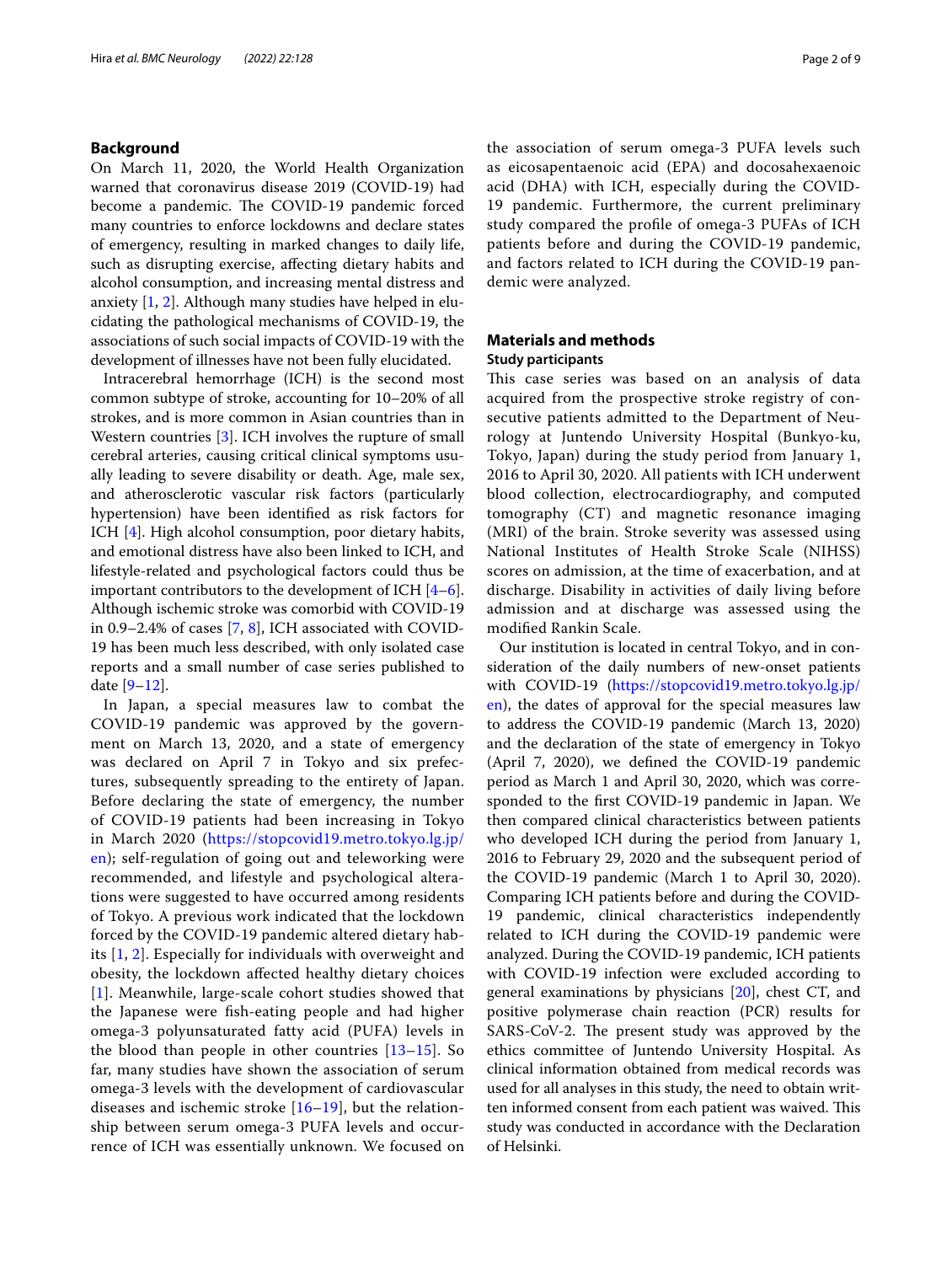## **Background**

On March 11, 2020, the World Health Organization warned that coronavirus disease 2019 (COVID-19) had become a pandemic. The COVID-19 pandemic forced many countries to enforce lockdowns and declare states of emergency, resulting in marked changes to daily life, such as disrupting exercise, afecting dietary habits and alcohol consumption, and increasing mental distress and anxiety [\[1](#page-7-0), [2\]](#page-7-1). Although many studies have helped in elucidating the pathological mechanisms of COVID-19, the associations of such social impacts of COVID-19 with the development of illnesses have not been fully elucidated.

Intracerebral hemorrhage (ICH) is the second most common subtype of stroke, accounting for 10–20% of all strokes, and is more common in Asian countries than in Western countries [\[3](#page-7-2)]. ICH involves the rupture of small cerebral arteries, causing critical clinical symptoms usually leading to severe disability or death. Age, male sex, and atherosclerotic vascular risk factors (particularly hypertension) have been identifed as risk factors for ICH [[4\]](#page-7-3). High alcohol consumption, poor dietary habits, and emotional distress have also been linked to ICH, and lifestyle-related and psychological factors could thus be important contributors to the development of ICH [\[4](#page-7-3)[–6](#page-7-4)]. Although ischemic stroke was comorbid with COVID-19 in 0.9–2.4% of cases [\[7](#page-7-5), [8](#page-7-6)], ICH associated with COVID-19 has been much less described, with only isolated case reports and a small number of case series published to date [[9](#page-7-7)[–12](#page-7-8)].

In Japan, a special measures law to combat the COVID-19 pandemic was approved by the government on March 13, 2020, and a state of emergency was declared on April 7 in Tokyo and six prefectures, subsequently spreading to the entirety of Japan. Before declaring the state of emergency, the number of COVID-19 patients had been increasing in Tokyo in March 2020 ([https://stopcovid19.metro.tokyo.lg.jp/](https://stopcovid19.metro.tokyo.lg.jp/en) [en\)](https://stopcovid19.metro.tokyo.lg.jp/en); self-regulation of going out and teleworking were recommended, and lifestyle and psychological alterations were suggested to have occurred among residents of Tokyo. A previous work indicated that the lockdown forced by the COVID-19 pandemic altered dietary habits [[1,](#page-7-0) [2\]](#page-7-1). Especially for individuals with overweight and obesity, the lockdown afected healthy dietary choices [[1](#page-7-0)]. Meanwhile, large-scale cohort studies showed that the Japanese were fsh-eating people and had higher omega-3 polyunsaturated fatty acid (PUFA) levels in the blood than people in other countries [[13](#page-7-9)[–15](#page-7-10)]. So far, many studies have shown the association of serum omega-3 levels with the development of cardiovascular diseases and ischemic stroke [\[16–](#page-7-11)[19\]](#page-7-12), but the relationship between serum omega-3 PUFA levels and occurrence of ICH was essentially unknown. We focused on the association of serum omega-3 PUFA levels such as eicosapentaenoic acid (EPA) and docosahexaenoic acid (DHA) with ICH, especially during the COVID-19 pandemic. Furthermore, the current preliminary study compared the profle of omega-3 PUFAs of ICH patients before and during the COVID-19 pandemic, and factors related to ICH during the COVID-19 pandemic were analyzed.

## **Materials and methods Study participants**

This case series was based on an analysis of data acquired from the prospective stroke registry of consecutive patients admitted to the Department of Neurology at Juntendo University Hospital (Bunkyo-ku, Tokyo, Japan) during the study period from January 1, 2016 to April 30, 2020. All patients with ICH underwent blood collection, electrocardiography, and computed tomography (CT) and magnetic resonance imaging (MRI) of the brain. Stroke severity was assessed using National Institutes of Health Stroke Scale (NIHSS) scores on admission, at the time of exacerbation, and at discharge. Disability in activities of daily living before admission and at discharge was assessed using the modifed Rankin Scale.

Our institution is located in central Tokyo, and in consideration of the daily numbers of new-onset patients with COVID-19 [\(https://stopcovid19.metro.tokyo.lg.jp/](https://stopcovid19.metro.tokyo.lg.jp/en) [en\)](https://stopcovid19.metro.tokyo.lg.jp/en), the dates of approval for the special measures law to address the COVID-19 pandemic (March 13, 2020) and the declaration of the state of emergency in Tokyo (April 7, 2020), we defned the COVID-19 pandemic period as March 1 and April 30, 2020, which was corresponded to the frst COVID-19 pandemic in Japan. We then compared clinical characteristics between patients who developed ICH during the period from January 1, 2016 to February 29, 2020 and the subsequent period of the COVID-19 pandemic (March 1 to April 30, 2020). Comparing ICH patients before and during the COVID-19 pandemic, clinical characteristics independently related to ICH during the COVID-19 pandemic were analyzed. During the COVID-19 pandemic, ICH patients with COVID-19 infection were excluded according to general examinations by physicians [\[20\]](#page-7-13), chest CT, and positive polymerase chain reaction (PCR) results for SARS-CoV-2. The present study was approved by the ethics committee of Juntendo University Hospital. As clinical information obtained from medical records was used for all analyses in this study, the need to obtain written informed consent from each patient was waived. This study was conducted in accordance with the Declaration of Helsinki.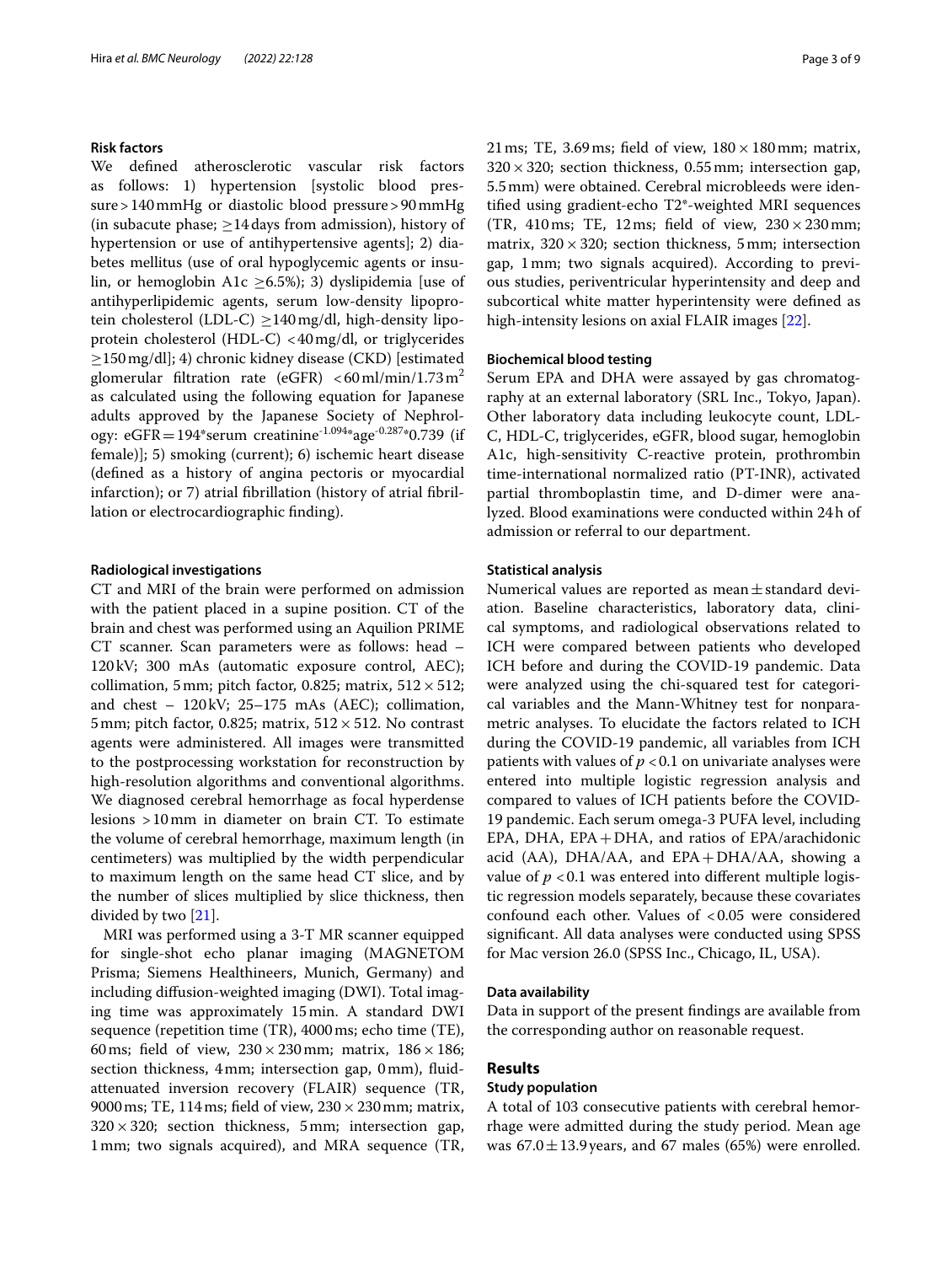## **Risk factors**

We defned atherosclerotic vascular risk factors as follows: 1) hypertension [systolic blood pressure>140mmHg or diastolic blood pressure>90mmHg (in subacute phase;  $\geq$  14 days from admission), history of hypertension or use of antihypertensive agents]; 2) diabetes mellitus (use of oral hypoglycemic agents or insulin, or hemoglobin A1c >6.5%); 3) dyslipidemia [use of antihyperlipidemic agents, serum low-density lipoprotein cholesterol (LDL-C) ≥140mg/dl, high-density lipoprotein cholesterol (HDL-C) <40mg/dl, or triglycerides ≥150mg/dl]; 4) chronic kidney disease (CKD) [estimated glomerular filtration rate (eGFR)  $\lt 60$  ml/min/1.73 m<sup>2</sup> as calculated using the following equation for Japanese adults approved by the Japanese Society of Nephrology: eGFR=194\*serum creatinine<sup>-1.094</sup>\*age<sup>-0.287</sup>\*0.739 (if female)]; 5) smoking (current); 6) ischemic heart disease (defned as a history of angina pectoris or myocardial infarction); or 7) atrial fbrillation (history of atrial fbrillation or electrocardiographic fnding).

#### **Radiological investigations**

CT and MRI of the brain were performed on admission with the patient placed in a supine position. CT of the brain and chest was performed using an Aquilion PRIME CT scanner. Scan parameters were as follows: head – 120kV; 300 mAs (automatic exposure control, AEC); collimation, 5 mm; pitch factor, 0.825; matrix,  $512 \times 512$ ; and chest – 120kV; 25–175 mAs (AEC); collimation, 5 mm; pitch factor, 0.825; matrix,  $512 \times 512$ . No contrast agents were administered. All images were transmitted to the postprocessing workstation for reconstruction by high-resolution algorithms and conventional algorithms. We diagnosed cerebral hemorrhage as focal hyperdense lesions >10mm in diameter on brain CT. To estimate the volume of cerebral hemorrhage, maximum length (in centimeters) was multiplied by the width perpendicular to maximum length on the same head CT slice, and by the number of slices multiplied by slice thickness, then divided by two [\[21\]](#page-7-14).

MRI was performed using a 3-T MR scanner equipped for single-shot echo planar imaging (MAGNETOM Prisma; Siemens Healthineers, Munich, Germany) and including difusion-weighted imaging (DWI). Total imaging time was approximately 15min. A standard DWI sequence (repetition time (TR), 4000ms; echo time (TE), 60ms; field of view,  $230 \times 230$  mm; matrix,  $186 \times 186$ ; section thickness, 4mm; intersection gap, 0mm), fuidattenuated inversion recovery (FLAIR) sequence (TR, 9000 ms; TE, 114 ms; field of view,  $230 \times 230$  mm; matrix,  $320 \times 320$ ; section thickness, 5mm; intersection gap, 1mm; two signals acquired), and MRA sequence (TR, 21 ms; TE, 3.69 ms; field of view,  $180 \times 180$  mm; matrix,  $320 \times 320$ ; section thickness, 0.55 mm; intersection gap, 5.5mm) were obtained. Cerebral microbleeds were identifed using gradient-echo T2\*-weighted MRI sequences (TR, 410ms; TE, 12ms; field of view,  $230 \times 230$  mm; matrix,  $320 \times 320$ ; section thickness, 5mm; intersection gap, 1mm; two signals acquired). According to previous studies, periventricular hyperintensity and deep and subcortical white matter hyperintensity were defned as high-intensity lesions on axial FLAIR images [\[22](#page-8-0)].

## **Biochemical blood testing**

Serum EPA and DHA were assayed by gas chromatography at an external laboratory (SRL Inc., Tokyo, Japan). Other laboratory data including leukocyte count, LDL-C, HDL-C, triglycerides, eGFR, blood sugar, hemoglobin A1c, high-sensitivity C-reactive protein, prothrombin time-international normalized ratio (PT-INR), activated partial thromboplastin time, and D-dimer were analyzed. Blood examinations were conducted within 24h of admission or referral to our department.

## **Statistical analysis**

Numerical values are reported as mean $\pm$ standard deviation. Baseline characteristics, laboratory data, clinical symptoms, and radiological observations related to ICH were compared between patients who developed ICH before and during the COVID-19 pandemic. Data were analyzed using the chi-squared test for categorical variables and the Mann-Whitney test for nonparametric analyses. To elucidate the factors related to ICH during the COVID-19 pandemic, all variables from ICH patients with values of  $p < 0.1$  on univariate analyses were entered into multiple logistic regression analysis and compared to values of ICH patients before the COVID-19 pandemic. Each serum omega-3 PUFA level, including EPA, DHA, EPA+DHA, and ratios of EPA/arachidonic acid (AA), DHA/AA, and  $EPA + DHA/AA$ , showing a value of  $p < 0.1$  was entered into different multiple logistic regression models separately, because these covariates confound each other. Values of <0.05 were considered signifcant. All data analyses were conducted using SPSS for Mac version 26.0 (SPSS Inc., Chicago, IL, USA).

## **Data availability**

Data in support of the present fndings are available from the corresponding author on reasonable request.

## **Results**

## **Study population**

A total of 103 consecutive patients with cerebral hemorrhage were admitted during the study period. Mean age was  $67.0 \pm 13.9$  years, and 67 males (65%) were enrolled.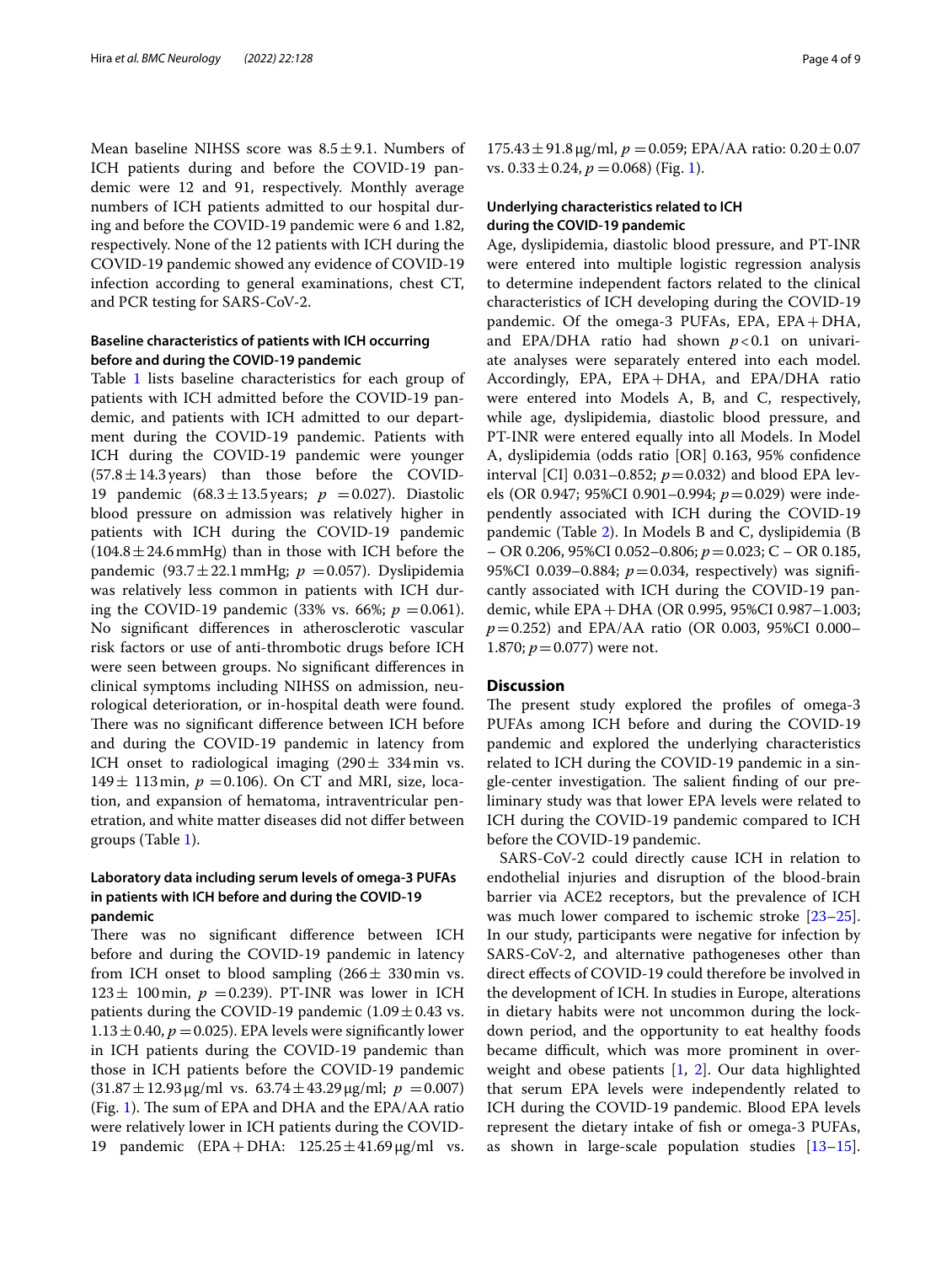Mean baseline NIHSS score was  $8.5 \pm 9.1$ . Numbers of ICH patients during and before the COVID-19 pandemic were 12 and 91, respectively. Monthly average numbers of ICH patients admitted to our hospital during and before the COVID-19 pandemic were 6 and 1.82, respectively. None of the 12 patients with ICH during the COVID-19 pandemic showed any evidence of COVID-19 infection according to general examinations, chest CT, and PCR testing for SARS-CoV-2.

## **Baseline characteristics of patients with ICH occurring before and during the COVID‑19 pandemic**

Table [1](#page-4-0) lists baseline characteristics for each group of patients with ICH admitted before the COVID-19 pandemic, and patients with ICH admitted to our department during the COVID-19 pandemic. Patients with ICH during the COVID-19 pandemic were younger  $(57.8 \pm 14.3 \text{ years})$  than those before the COVID-19 pandemic  $(68.3 \pm 13.5 \,\text{years}; p = 0.027)$ . Diastolic blood pressure on admission was relatively higher in patients with ICH during the COVID-19 pandemic  $(104.8 \pm 24.6 \text{ mmHg})$  than in those with ICH before the pandemic (93.7 $\pm$ 22.1 mmHg;  $p = 0.057$ ). Dyslipidemia was relatively less common in patients with ICH during the COVID-19 pandemic  $(33\% \text{ vs. } 66\%; p = 0.061)$ . No signifcant diferences in atherosclerotic vascular risk factors or use of anti-thrombotic drugs before ICH were seen between groups. No signifcant diferences in clinical symptoms including NIHSS on admission, neurological deterioration, or in-hospital death were found. There was no significant difference between ICH before and during the COVID-19 pandemic in latency from ICH onset to radiological imaging  $(290 \pm 334 \text{ min} \text{ vs.})$ 149 $\pm$  113 min,  $p = 0.106$ ). On CT and MRI, size, location, and expansion of hematoma, intraventricular penetration, and white matter diseases did not difer between groups (Table [1\)](#page-4-0).

## **Laboratory data including serum levels of omega‑3 PUFAs in patients with ICH before and during the COVID‑19 pandemic**

There was no significant difference between ICH before and during the COVID-19 pandemic in latency from ICH onset to blood sampling  $(266 \pm 330)$  min vs.  $123 \pm 100$  min,  $p = 0.239$ ). PT-INR was lower in ICH patients during the COVID-19 pandemic  $(1.09 \pm 0.43 \text{ vs.})$  $1.13 \pm 0.40$ ,  $p = 0.025$ ). EPA levels were significantly lower in ICH patients during the COVID-19 pandemic than those in ICH patients before the COVID-19 pandemic  $(31.87 \pm 12.93 \,\mu\text{g/ml vs. } 63.74 \pm 43.29 \,\mu\text{g/ml}; p = 0.007)$ (Fig. [1](#page-5-0)). The sum of EPA and DHA and the EPA/AA ratio were relatively lower in ICH patients during the COVID-19 pandemic  $(EPA+DHA: 125.25 \pm 41.69 \,\mu\text{g/ml vs.}$ 

 $175.43 \pm 91.8 \,\mu$ g/ml,  $p = 0.059$ ; EPA/AA ratio:  $0.20 \pm 0.07$ vs.  $0.33 \pm 0.24$ ,  $p = 0.068$ ) (Fig. [1\)](#page-5-0).

## **Underlying characteristics related to ICH during the COVID‑19 pandemic**

Age, dyslipidemia, diastolic blood pressure, and PT-INR were entered into multiple logistic regression analysis to determine independent factors related to the clinical characteristics of ICH developing during the COVID-19 pandemic. Of the omega-3 PUFAs, EPA, EPA+DHA, and EPA/DHA ratio had shown  $p < 0.1$  on univariate analyses were separately entered into each model. Accordingly, EPA, EPA+DHA, and EPA/DHA ratio were entered into Models A, B, and C, respectively, while age, dyslipidemia, diastolic blood pressure, and PT-INR were entered equally into all Models. In Model A, dyslipidemia (odds ratio [OR] 0.163, 95% confdence interval [CI] 0.031–0.852;  $p = 0.032$ ) and blood EPA levels (OR 0.947; 95%CI 0.901–0.994; *p*=0.029) were independently associated with ICH during the COVID-19 pandemic (Table [2\)](#page-6-0). In Models B and C, dyslipidemia (B – OR 0.206, 95%CI 0.052–0.806; *p*=0.023; C – OR 0.185, 95%CI 0.039–0.884;  $p = 0.034$ , respectively) was significantly associated with ICH during the COVID-19 pandemic, while EPA+DHA (OR 0.995, 95%CI 0.987–1.003; *p*=0.252) and EPA/AA ratio (OR 0.003, 95%CI 0.000– 1.870;  $p = 0.077$ ) were not.

## **Discussion**

The present study explored the profiles of omega-3 PUFAs among ICH before and during the COVID-19 pandemic and explored the underlying characteristics related to ICH during the COVID-19 pandemic in a single-center investigation. The salient finding of our preliminary study was that lower EPA levels were related to ICH during the COVID-19 pandemic compared to ICH before the COVID-19 pandemic.

SARS-CoV-2 could directly cause ICH in relation to endothelial injuries and disruption of the blood-brain barrier via ACE2 receptors, but the prevalence of ICH was much lower compared to ischemic stroke [[23](#page-8-1)[–25](#page-8-2)]. In our study, participants were negative for infection by SARS-CoV-2, and alternative pathogeneses other than direct efects of COVID-19 could therefore be involved in the development of ICH. In studies in Europe, alterations in dietary habits were not uncommon during the lockdown period, and the opportunity to eat healthy foods became difficult, which was more prominent in overweight and obese patients [\[1](#page-7-0), [2\]](#page-7-1). Our data highlighted that serum EPA levels were independently related to ICH during the COVID-19 pandemic. Blood EPA levels represent the dietary intake of fsh or omega-3 PUFAs, as shown in large-scale population studies  $[13-15]$  $[13-15]$  $[13-15]$ .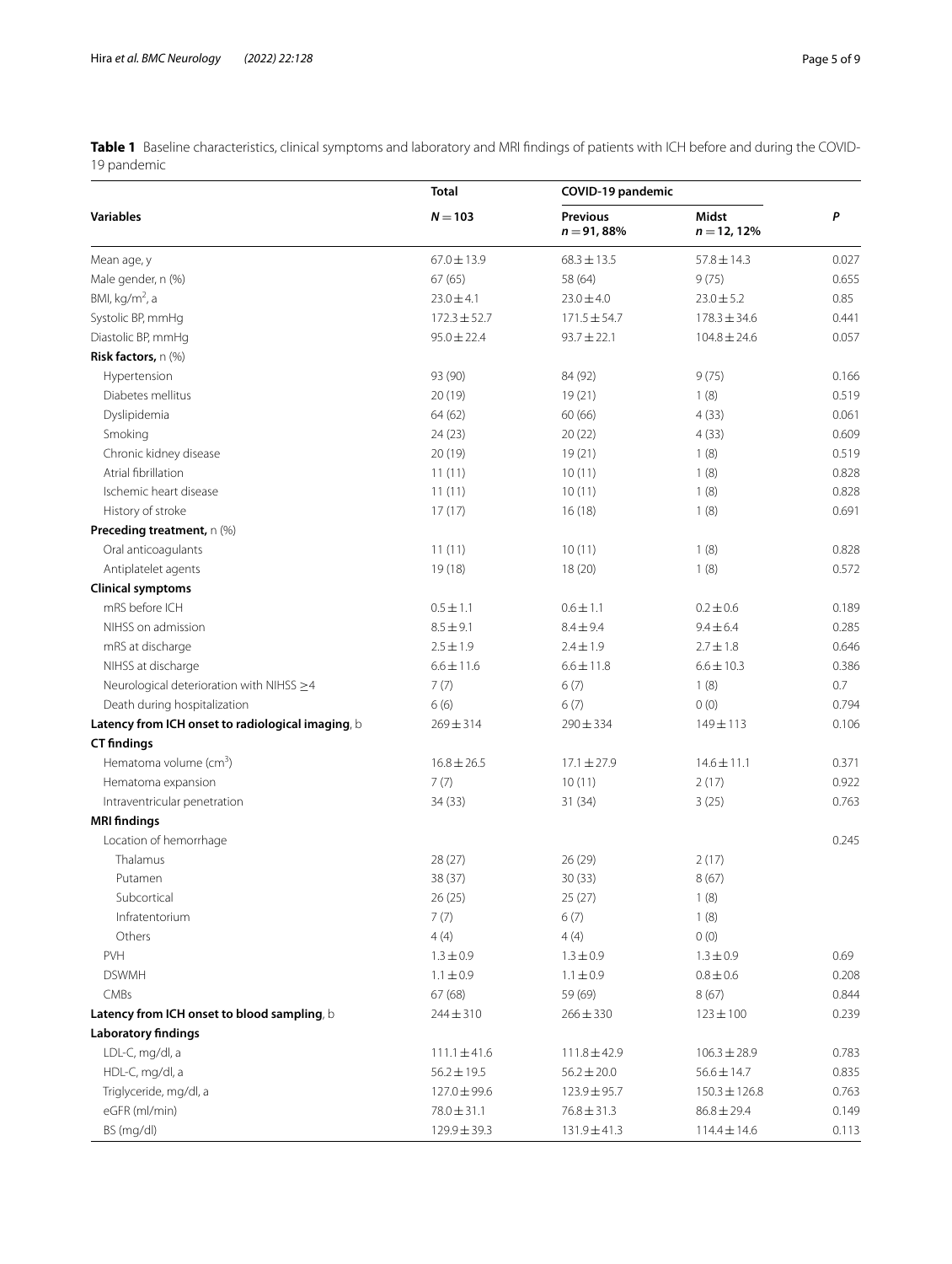<span id="page-4-0"></span>**Table 1** Baseline characteristics, clinical symptoms and laboratory and MRI fndings of patients with ICH before and during the COVID-19 pandemic

|                                                   | <b>Total</b><br>$N = 103$ | COVID-19 pandemic               |                        |       |
|---------------------------------------------------|---------------------------|---------------------------------|------------------------|-------|
| <b>Variables</b>                                  |                           | <b>Previous</b><br>$n = 91,88%$ | Midst<br>$n = 12, 12%$ | P     |
| Mean age, y                                       | $67.0 \pm 13.9$           | $68.3 \pm 13.5$                 | $57.8 \pm 14.3$        | 0.027 |
| Male gender, n (%)                                | 67(65)                    | 58 (64)                         | 9(75)                  | 0.655 |
| BMI, $kg/m2$ , a                                  | $23.0 \pm 4.1$            | $23.0 \pm 4.0$                  | $23.0 \pm 5.2$         | 0.85  |
| Systolic BP, mmHg                                 | $172.3 \pm 52.7$          | $171.5 \pm 54.7$                | $178.3 \pm 34.6$       | 0.441 |
| Diastolic BP, mmHq                                | $95.0 \pm 22.4$           | $93.7 \pm 22.1$                 | $104.8 \pm 24.6$       | 0.057 |
| Risk factors, n (%)                               |                           |                                 |                        |       |
| Hypertension                                      | 93 (90)                   | 84 (92)                         | 9(75)                  | 0.166 |
| Diabetes mellitus                                 | 20 (19)                   | 19(21)                          | 1(8)                   | 0.519 |
| Dyslipidemia                                      | 64 (62)                   | 60 (66)                         | 4(33)                  | 0.061 |
| Smoking                                           | 24 (23)                   | 20(22)                          | 4(33)                  | 0.609 |
| Chronic kidney disease                            | 20(19)                    | 19(21)                          | 1(8)                   | 0.519 |
| Atrial fibrillation                               | 11(11)                    | 10(11)                          | 1(8)                   | 0.828 |
| Ischemic heart disease                            | 11(11)                    | 10(11)                          | 1(8)                   | 0.828 |
| History of stroke                                 | 17(17)                    | 16(18)                          | 1(8)                   | 0.691 |
| Preceding treatment, n (%)                        |                           |                                 |                        |       |
| Oral anticoagulants                               | 11(11)                    | 10(11)                          | 1(8)                   | 0.828 |
| Antiplatelet agents                               | 19(18)                    | 18(20)                          | 1(8)                   | 0.572 |
| <b>Clinical symptoms</b>                          |                           |                                 |                        |       |
| mRS before ICH                                    | $0.5 \pm 1.1$             | $0.6 \pm 1.1$                   | $0.2 \pm 0.6$          | 0.189 |
| NIHSS on admission                                | $8.5 \pm 9.1$             | $8.4 \pm 9.4$                   | $9.4 \pm 6.4$          | 0.285 |
| mRS at discharge                                  | $2.5 \pm 1.9$             | $2.4 \pm 1.9$                   | $2.7 \pm 1.8$          | 0.646 |
| NIHSS at discharge                                | $6.6 \pm 11.6$            | $6.6 \pm 11.8$                  | $6.6 \pm 10.3$         | 0.386 |
| Neurological deterioration with NIHSS ≥4          | 7(7)                      | 6(7)                            | 1(8)                   | 0.7   |
| Death during hospitalization                      | 6(6)                      | 6(7)                            | 0(0)                   | 0.794 |
| Latency from ICH onset to radiological imaging, b | $269 \pm 314$             | $290 \pm 334$                   | 149±113                | 0.106 |
| <b>CT</b> findings                                |                           |                                 |                        |       |
| Hematoma volume $(cm3)$                           | $16.8 \pm 26.5$           | $17.1 \pm 27.9$                 | $14.6 \pm 11.1$        | 0.371 |
| Hematoma expansion                                | 7(7)                      | 10(11)                          | 2(17)                  | 0.922 |
| Intraventricular penetration                      | 34 (33)                   | 31 (34)                         | 3(25)                  | 0.763 |
| <b>MRI</b> findings                               |                           |                                 |                        |       |
| Location of hemorrhage                            |                           |                                 |                        | 0.245 |
| Thalamus                                          | 28 (27)                   | 26(29)                          | 2(17)                  |       |
| Putamen                                           | 38 (37)                   | 30(33)                          | 8(67)                  |       |
| Subcortical                                       | 26 (25)                   | 25 (27)                         | 1(8)                   |       |
| Infratentorium                                    | 7(7)                      | 6(7)                            | 1(8)                   |       |
| Others                                            | 4(4)                      | 4(4)                            | 0(0)                   |       |
| PVH                                               | $1.3 \pm 0.9$             | $1.3 \pm 0.9$                   | $1.3 \pm 0.9$          | 0.69  |
| <b>DSWMH</b>                                      | $1.1 \pm 0.9$             | $1.1 \pm 0.9$                   | $0.8 \pm 0.6$          | 0.208 |
| CMBs                                              | 67(68)                    | 59 (69)                         | 8(67)                  | 0.844 |
| Latency from ICH onset to blood sampling, b       | $244 \pm 310$             | $266 \pm 330$                   | $123 \pm 100$          | 0.239 |
| <b>Laboratory findings</b>                        |                           |                                 |                        |       |
| LDL-C, mg/dl, a                                   | $111.1 \pm 41.6$          | $111.8 \pm 42.9$                | $106.3 \pm 28.9$       | 0.783 |
| HDL-C, mg/dl, a                                   | $56.2 \pm 19.5$           | $56.2 \pm 20.0$                 | $56.6 \pm 14.7$        | 0.835 |
| Triglyceride, mg/dl, a                            | 127.0 ± 99.6              | $123.9 \pm 95.7$                | $150.3 \pm 126.8$      | 0.763 |
| eGFR (ml/min)                                     | $78.0 \pm 31.1$           | $76.8 \pm 31.3$                 | $86.8 \pm 29.4$        | 0.149 |
| BS (mg/dl)                                        | 129.9 ± 39.3              | 131.9±41.3                      | $114.4 \pm 14.6$       | 0.113 |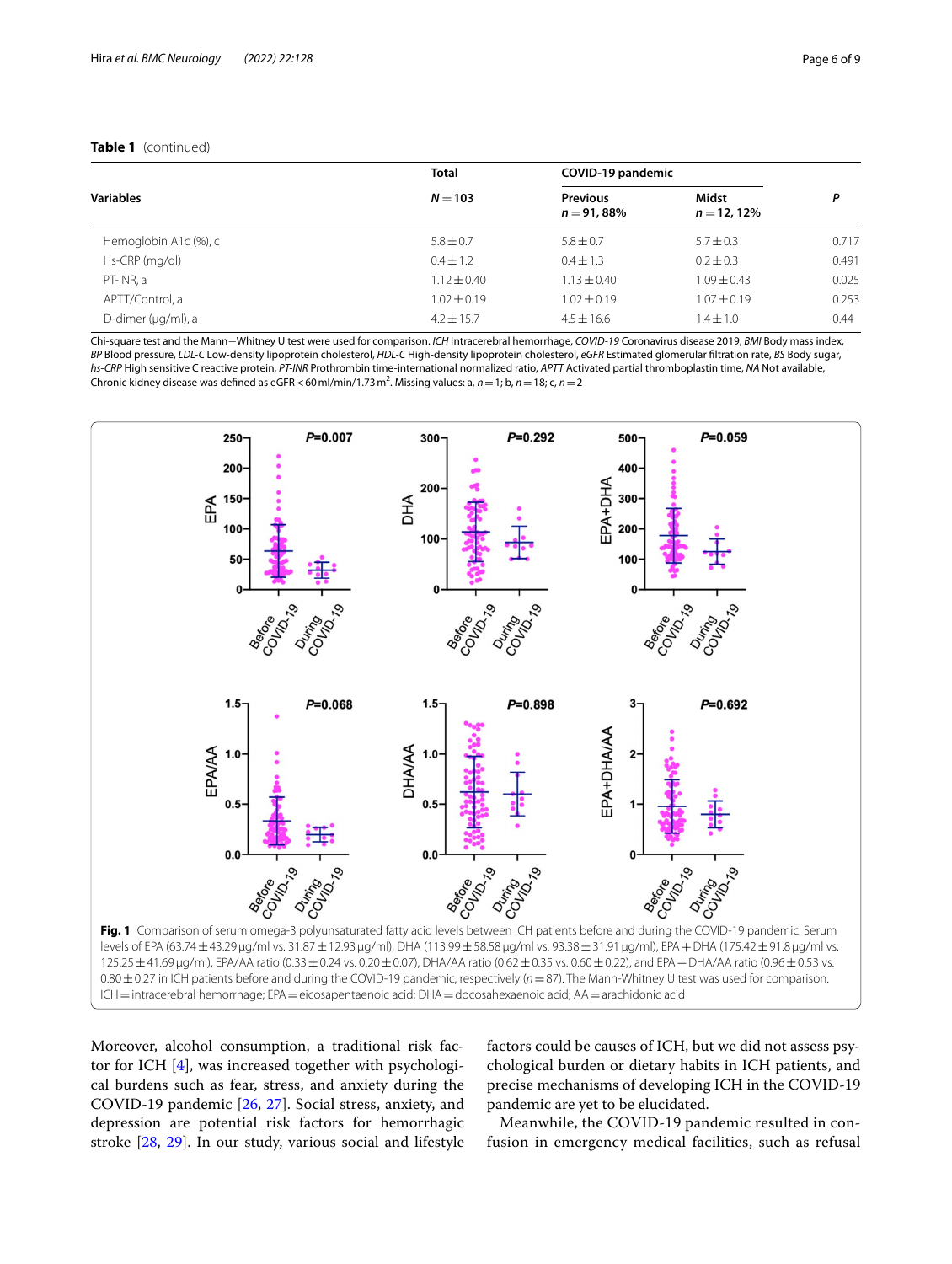## **Table 1** (continued)

|                       | <b>Total</b><br>$N = 103$ | COVID-19 pandemic               |                         |       |
|-----------------------|---------------------------|---------------------------------|-------------------------|-------|
| <b>Variables</b>      |                           | <b>Previous</b><br>$n = 91,88%$ | Midst<br>$n = 12, 12\%$ | P     |
| Hemoglobin A1c (%), c | $5.8 \pm 0.7$             | $5.8 \pm 0.7$                   | $5.7 \pm 0.3$           | 0.717 |
| Hs-CRP (mg/dl)        | $0.4 \pm 1.2$             | $0.4 \pm 1.3$                   | $0.2 \pm 0.3$           | 0.491 |
| PT-INR, a             | $1.12 \pm 0.40$           | $1.13 \pm 0.40$                 | $1.09 \pm 0.43$         | 0.025 |
| APTT/Control, a       | $1.02 \pm 0.19$           | $1.02 \pm 0.19$                 | $1.07 \pm 0.19$         | 0.253 |
| D-dimer (µg/ml), a    | $4.2 + 15.7$              | $4.5 + 16.6$                    | $1.4 \pm 1.0$           | 0.44  |

Chi-square test and the Mann−Whitney U test were used for comparison. *ICH* Intracerebral hemorrhage, *COVID-19* Coronavirus disease 2019, *BMI* Body mass index, *BP* Blood pressure, *LDL-C* Low-density lipoprotein cholesterol, *HDL-C* High-density lipoprotein cholesterol, *eGFR* Estimated glomerular fltration rate, *BS* Body sugar, *hs-CRP* High sensitive C reactive protein, *PT-INR* Prothrombin time-international normalized ratio, *APTT* Activated partial thromboplastin time, *NA* Not available, Chronic kidney disease was defined as eGFR < 60 ml/min/1.73 m<sup>2</sup>. Missing values: a, *n* = 1; b, *n* = 18; c, *n* = 2



<span id="page-5-0"></span>Moreover, alcohol consumption, a traditional risk factor for ICH [[4\]](#page-7-3), was increased together with psychological burdens such as fear, stress, and anxiety during the COVID-19 pandemic [[26](#page-8-3), [27\]](#page-8-4). Social stress, anxiety, and depression are potential risk factors for hemorrhagic stroke [[28](#page-8-5), [29](#page-8-6)]. In our study, various social and lifestyle factors could be causes of ICH, but we did not assess psychological burden or dietary habits in ICH patients, and precise mechanisms of developing ICH in the COVID-19 pandemic are yet to be elucidated.

Meanwhile, the COVID-19 pandemic resulted in confusion in emergency medical facilities, such as refusal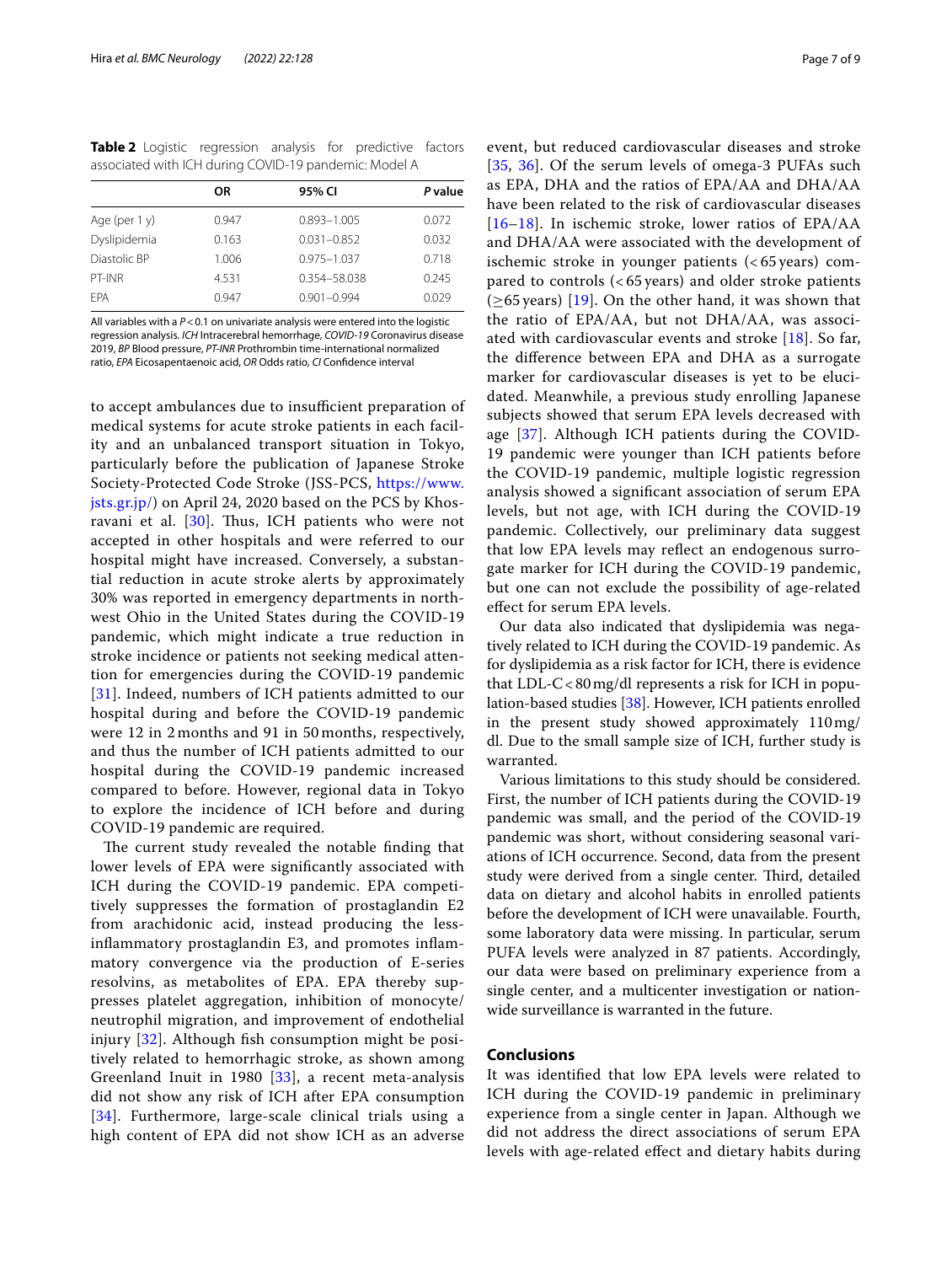<span id="page-6-0"></span>**Table 2** Logistic regression analysis for predictive factors associated with ICH during COVID-19 pandemic: Model A

|                  | <b>OR</b> | 95% CI          | P value |
|------------------|-----------|-----------------|---------|
| Age (per $1 y$ ) | 0.947     | $0.893 - 1.005$ | 0.072   |
| Dyslipidemia     | 0.163     | $0.031 - 0.852$ | 0.032   |
| Diastolic BP     | 1.006     | $0.975 - 1.037$ | 0.718   |
| PT-INR           | 4.531     | 0.354-58.038    | 0.245   |
| <b>FPA</b>       | 0.947     | $0.901 - 0.994$ | 0.029   |
|                  |           |                 |         |

All variables with a  $P < 0.1$  on univariate analysis were entered into the logistic regression analysis. *ICH* Intracerebral hemorrhage, *COVID-19* Coronavirus disease 2019, *BP* Blood pressure, *PT-INR* Prothrombin time-international normalized ratio, *EPA* Eicosapentaenoic acid, *OR* Odds ratio, *CI* Confdence interval

to accept ambulances due to insufficient preparation of medical systems for acute stroke patients in each facility and an unbalanced transport situation in Tokyo, particularly before the publication of Japanese Stroke Society-Protected Code Stroke (JSS-PCS, [https://www.](https://www.jsts.gr.jp/) [jsts.gr.jp/](https://www.jsts.gr.jp/)) on April 24, 2020 based on the PCS by Khos-ravani et al. [\[30\]](#page-8-7). Thus, ICH patients who were not accepted in other hospitals and were referred to our hospital might have increased. Conversely, a substantial reduction in acute stroke alerts by approximately 30% was reported in emergency departments in northwest Ohio in the United States during the COVID-19 pandemic, which might indicate a true reduction in stroke incidence or patients not seeking medical attention for emergencies during the COVID-19 pandemic [[31](#page-8-8)]. Indeed, numbers of ICH patients admitted to our hospital during and before the COVID-19 pandemic were 12 in 2 months and 91 in 50 months, respectively, and thus the number of ICH patients admitted to our hospital during the COVID-19 pandemic increased compared to before. However, regional data in Tokyo to explore the incidence of ICH before and during COVID-19 pandemic are required.

The current study revealed the notable finding that lower levels of EPA were signifcantly associated with ICH during the COVID-19 pandemic. EPA competitively suppresses the formation of prostaglandin E2 from arachidonic acid, instead producing the lessinfammatory prostaglandin E3, and promotes infammatory convergence via the production of E-series resolvins, as metabolites of EPA. EPA thereby suppresses platelet aggregation, inhibition of monocyte/ neutrophil migration, and improvement of endothelial injury [[32\]](#page-8-9). Although fish consumption might be positively related to hemorrhagic stroke, as shown among Greenland Inuit in 1980 [\[33](#page-8-10)], a recent meta-analysis did not show any risk of ICH after EPA consumption [[34](#page-8-11)]. Furthermore, large-scale clinical trials using a high content of EPA did not show ICH as an adverse

event, but reduced cardiovascular diseases and stroke [[35](#page-8-12), [36\]](#page-8-13). Of the serum levels of omega-3 PUFAs such as EPA, DHA and the ratios of EPA/AA and DHA/AA have been related to the risk of cardiovascular diseases [[16](#page-7-11)[–18](#page-7-15)]. In ischemic stroke, lower ratios of EPA/AA and DHA/AA were associated with the development of ischemic stroke in younger patients (< 65 years) compared to controls (< 65 years) and older stroke patients  $(\geq 65 \text{ years})$  [[19\]](#page-7-12). On the other hand, it was shown that the ratio of EPA/AA, but not DHA/AA, was associated with cardiovascular events and stroke [[18](#page-7-15)]. So far, the diference between EPA and DHA as a surrogate marker for cardiovascular diseases is yet to be elucidated. Meanwhile, a previous study enrolling Japanese subjects showed that serum EPA levels decreased with age [[37\]](#page-8-14). Although ICH patients during the COVID-19 pandemic were younger than ICH patients before the COVID-19 pandemic, multiple logistic regression analysis showed a signifcant association of serum EPA levels, but not age, with ICH during the COVID-19 pandemic. Collectively, our preliminary data suggest that low EPA levels may refect an endogenous surrogate marker for ICH during the COVID-19 pandemic, but one can not exclude the possibility of age-related efect for serum EPA levels.

Our data also indicated that dyslipidemia was negatively related to ICH during the COVID-19 pandemic. As for dyslipidemia as a risk factor for ICH, there is evidence that  $LDL-C < 80$  mg/dl represents a risk for ICH in population-based studies [[38](#page-8-15)]. However, ICH patients enrolled in the present study showed approximately 110mg/ dl. Due to the small sample size of ICH, further study is warranted.

Various limitations to this study should be considered. First, the number of ICH patients during the COVID-19 pandemic was small, and the period of the COVID-19 pandemic was short, without considering seasonal variations of ICH occurrence. Second, data from the present study were derived from a single center. Third, detailed data on dietary and alcohol habits in enrolled patients before the development of ICH were unavailable. Fourth, some laboratory data were missing. In particular, serum PUFA levels were analyzed in 87 patients. Accordingly, our data were based on preliminary experience from a single center, and a multicenter investigation or nationwide surveillance is warranted in the future.

## **Conclusions**

It was identifed that low EPA levels were related to ICH during the COVID-19 pandemic in preliminary experience from a single center in Japan. Although we did not address the direct associations of serum EPA levels with age-related efect and dietary habits during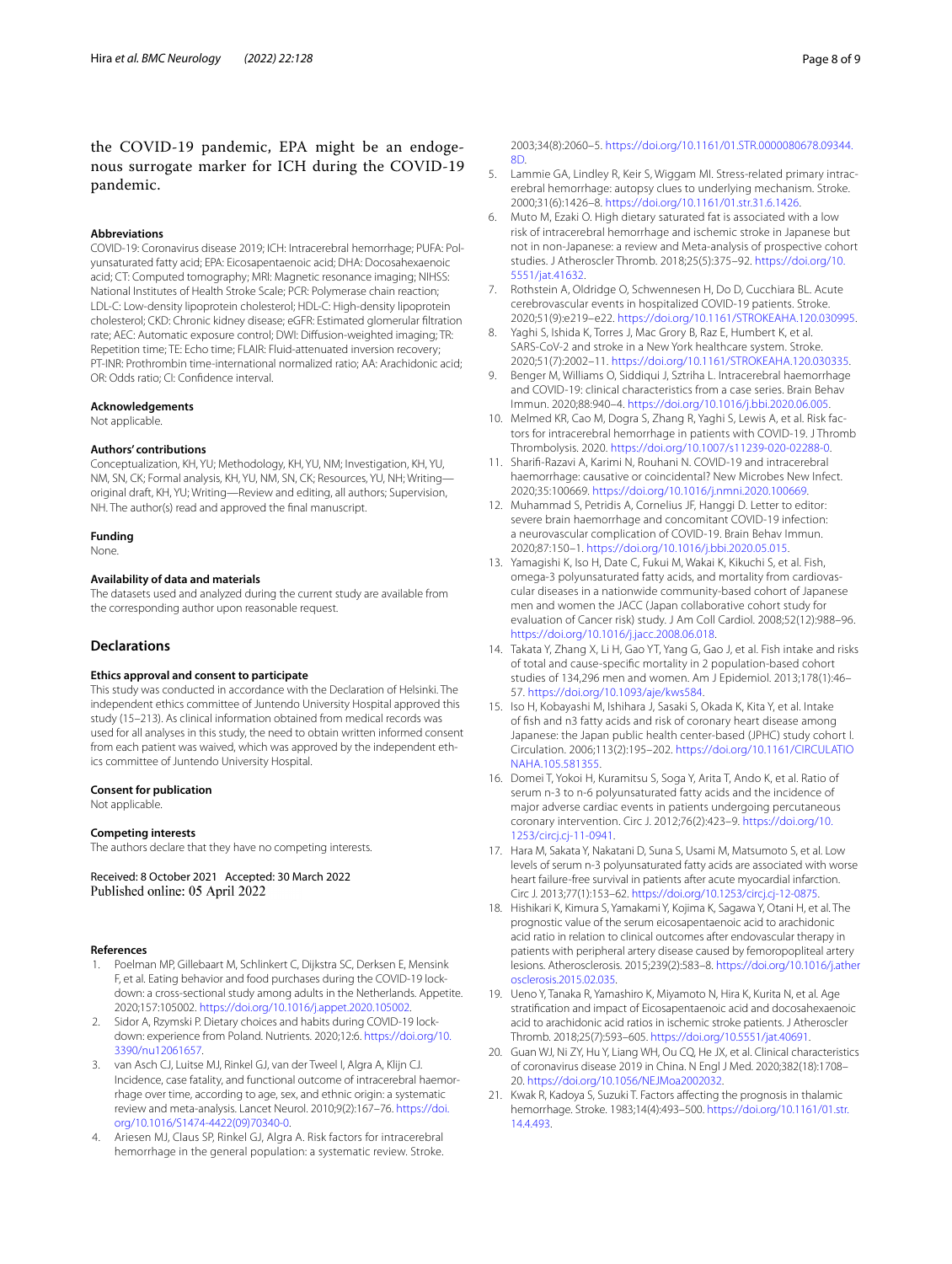## the COVID-19 pandemic, EPA might be an endogenous surrogate marker for ICH during the COVID-19 pandemic.

#### **Abbreviations**

COVID-19: Coronavirus disease 2019; ICH: Intracerebral hemorrhage; PUFA: Polyunsaturated fatty acid; EPA: Eicosapentaenoic acid; DHA: Docosahexaenoic acid; CT: Computed tomography; MRI: Magnetic resonance imaging; NIHSS: National Institutes of Health Stroke Scale; PCR: Polymerase chain reaction; LDL-C: Low-density lipoprotein cholesterol; HDL-C: High-density lipoprotein cholesterol; CKD: Chronic kidney disease; eGFR: Estimated glomerular fltration rate; AEC: Automatic exposure control; DWI: Difusion-weighted imaging; TR: Repetition time; TE: Echo time; FLAIR: Fluid-attenuated inversion recovery; PT-INR: Prothrombin time-international normalized ratio; AA: Arachidonic acid; OR: Odds ratio; CI: Confdence interval.

#### **Acknowledgements**

Not applicable.

#### **Authors' contributions**

Conceptualization, KH, YU; Methodology, KH, YU, NM; Investigation, KH, YU, NM, SN, CK; Formal analysis, KH, YU, NM, SN, CK; Resources, YU, NH; Writing original draft, KH, YU; Writing—Review and editing, all authors; Supervision, NH. The author(s) read and approved the fnal manuscript.

#### **Funding**

None.

#### **Availability of data and materials**

The datasets used and analyzed during the current study are available from the corresponding author upon reasonable request.

## **Declarations**

#### **Ethics approval and consent to participate**

This study was conducted in accordance with the Declaration of Helsinki. The independent ethics committee of Juntendo University Hospital approved this study (15–213). As clinical information obtained from medical records was used for all analyses in this study, the need to obtain written informed consent from each patient was waived, which was approved by the independent ethics committee of Juntendo University Hospital.

#### **Consent for publication**

Not applicable.

#### **Competing interests**

The authors declare that they have no competing interests.

Received: 8 October 2021 Accepted: 30 March 2022 Published online: 05 April 2022

#### **References**

- <span id="page-7-0"></span>1. Poelman MP, Gillebaart M, Schlinkert C, Dijkstra SC, Derksen E, Mensink F, et al. Eating behavior and food purchases during the COVID-19 lockdown: a cross-sectional study among adults in the Netherlands. Appetite. 2020;157:105002. <https://doi.org/10.1016/j.appet.2020.105002>.
- <span id="page-7-1"></span>2. Sidor A, Rzymski P. Dietary choices and habits during COVID-19 lockdown: experience from Poland. Nutrients. 2020;12:6. [https://doi.org/10.](https://doi.org/10.3390/nu12061657) [3390/nu12061657](https://doi.org/10.3390/nu12061657).
- <span id="page-7-2"></span>3. van Asch CJ, Luitse MJ, Rinkel GJ, van der Tweel I, Algra A, Klijn CJ. Incidence, case fatality, and functional outcome of intracerebral haemorrhage over time, according to age, sex, and ethnic origin: a systematic review and meta-analysis. Lancet Neurol. 2010;9(2):167–76. [https://doi.](https://doi.org/10.1016/S1474-4422(09)70340-0) [org/10.1016/S1474-4422\(09\)70340-0.](https://doi.org/10.1016/S1474-4422(09)70340-0)
- <span id="page-7-3"></span>Ariesen MJ, Claus SP, Rinkel GJ, Algra A. Risk factors for intracerebral hemorrhage in the general population: a systematic review. Stroke.

2003;34(8):2060–5. [https://doi.org/10.1161/01.STR.0000080678.09344.](https://doi.org/10.1161/01.STR.0000080678.09344.8D) [8D](https://doi.org/10.1161/01.STR.0000080678.09344.8D).

- 5. Lammie GA, Lindley R, Keir S, Wiggam MI. Stress-related primary intracerebral hemorrhage: autopsy clues to underlying mechanism. Stroke. 2000;31(6):1426–8. <https://doi.org/10.1161/01.str.31.6.1426>.
- <span id="page-7-4"></span>6. Muto M, Ezaki O. High dietary saturated fat is associated with a low risk of intracerebral hemorrhage and ischemic stroke in Japanese but not in non-Japanese: a review and Meta-analysis of prospective cohort studies. J Atheroscler Thromb. 2018;25(5):375–92. [https://doi.org/10.](https://doi.org/10.5551/jat.41632) [5551/jat.41632](https://doi.org/10.5551/jat.41632).
- <span id="page-7-5"></span>7. Rothstein A, Oldridge O, Schwennesen H, Do D, Cucchiara BL. Acute cerebrovascular events in hospitalized COVID-19 patients. Stroke. 2020;51(9):e219–e22. <https://doi.org/10.1161/STROKEAHA.120.030995>.
- <span id="page-7-6"></span>Yaghi S, Ishida K, Torres J, Mac Grory B, Raz E, Humbert K, et al. SARS-CoV-2 and stroke in a New York healthcare system. Stroke. 2020;51(7):2002–11. <https://doi.org/10.1161/STROKEAHA.120.030335>.
- <span id="page-7-7"></span>9. Benger M, Williams O, Siddiqui J, Sztriha L. Intracerebral haemorrhage and COVID-19: clinical characteristics from a case series. Brain Behav Immun. 2020;88:940–4. [https://doi.org/10.1016/j.bbi.2020.06.005.](https://doi.org/10.1016/j.bbi.2020.06.005)
- 10. Melmed KR, Cao M, Dogra S, Zhang R, Yaghi S, Lewis A, et al. Risk factors for intracerebral hemorrhage in patients with COVID-19. J Thromb Thrombolysis. 2020.<https://doi.org/10.1007/s11239-020-02288-0>.
- 11. Sharif-Razavi A, Karimi N, Rouhani N. COVID-19 and intracerebral haemorrhage: causative or coincidental? New Microbes New Infect. 2020;35:100669. [https://doi.org/10.1016/j.nmni.2020.100669.](https://doi.org/10.1016/j.nmni.2020.100669)
- <span id="page-7-8"></span>12. Muhammad S, Petridis A, Cornelius JF, Hanggi D. Letter to editor: severe brain haemorrhage and concomitant COVID-19 infection: a neurovascular complication of COVID-19. Brain Behav Immun. 2020;87:150–1. [https://doi.org/10.1016/j.bbi.2020.05.015.](https://doi.org/10.1016/j.bbi.2020.05.015)
- <span id="page-7-9"></span>13. Yamagishi K, Iso H, Date C, Fukui M, Wakai K, Kikuchi S, et al. Fish, omega-3 polyunsaturated fatty acids, and mortality from cardiovascular diseases in a nationwide community-based cohort of Japanese men and women the JACC (Japan collaborative cohort study for evaluation of Cancer risk) study. J Am Coll Cardiol. 2008;52(12):988–96. <https://doi.org/10.1016/j.jacc.2008.06.018>.
- 14. Takata Y, Zhang X, Li H, Gao YT, Yang G, Gao J, et al. Fish intake and risks of total and cause-specifc mortality in 2 population-based cohort studies of 134,296 men and women. Am J Epidemiol. 2013;178(1):46– 57. [https://doi.org/10.1093/aje/kws584.](https://doi.org/10.1093/aje/kws584)
- <span id="page-7-10"></span>15. Iso H, Kobayashi M, Ishihara J, Sasaki S, Okada K, Kita Y, et al. Intake of fsh and n3 fatty acids and risk of coronary heart disease among Japanese: the Japan public health center-based (JPHC) study cohort I. Circulation. 2006;113(2):195–202. [https://doi.org/10.1161/CIRCULATIO](https://doi.org/10.1161/CIRCULATIONAHA.105.581355) [NAHA.105.581355](https://doi.org/10.1161/CIRCULATIONAHA.105.581355).
- <span id="page-7-11"></span>16. Domei T, Yokoi H, Kuramitsu S, Soga Y, Arita T, Ando K, et al. Ratio of serum n-3 to n-6 polyunsaturated fatty acids and the incidence of major adverse cardiac events in patients undergoing percutaneous coronary intervention. Circ J. 2012;76(2):423–9. [https://doi.org/10.](https://doi.org/10.1253/circj.cj-11-0941) [1253/circj.cj-11-0941.](https://doi.org/10.1253/circj.cj-11-0941)
- 17. Hara M, Sakata Y, Nakatani D, Suna S, Usami M, Matsumoto S, et al. Low levels of serum n-3 polyunsaturated fatty acids are associated with worse heart failure-free survival in patients after acute myocardial infarction. Circ J. 2013;77(1):153–62. [https://doi.org/10.1253/circj.cj-12-0875.](https://doi.org/10.1253/circj.cj-12-0875)
- <span id="page-7-15"></span>18. Hishikari K, Kimura S, Yamakami Y, Kojima K, Sagawa Y, Otani H, et al. The prognostic value of the serum eicosapentaenoic acid to arachidonic acid ratio in relation to clinical outcomes after endovascular therapy in patients with peripheral artery disease caused by femoropopliteal artery lesions. Atherosclerosis. 2015;239(2):583–8. [https://doi.org/10.1016/j.ather](https://doi.org/10.1016/j.atherosclerosis.2015.02.035) [osclerosis.2015.02.035](https://doi.org/10.1016/j.atherosclerosis.2015.02.035).
- <span id="page-7-12"></span>19. Ueno Y, Tanaka R, Yamashiro K, Miyamoto N, Hira K, Kurita N, et al. Age stratifcation and impact of Eicosapentaenoic acid and docosahexaenoic acid to arachidonic acid ratios in ischemic stroke patients. J Atheroscler Thromb. 2018;25(7):593–605.<https://doi.org/10.5551/jat.40691>.
- <span id="page-7-13"></span>20. Guan WJ, Ni ZY, Hu Y, Liang WH, Ou CQ, He JX, et al. Clinical characteristics of coronavirus disease 2019 in China. N Engl J Med. 2020;382(18):1708– 20. [https://doi.org/10.1056/NEJMoa2002032.](https://doi.org/10.1056/NEJMoa2002032)
- <span id="page-7-14"></span>21. Kwak R, Kadoya S, Suzuki T. Factors afecting the prognosis in thalamic hemorrhage. Stroke. 1983;14(4):493–500. [https://doi.org/10.1161/01.str.](https://doi.org/10.1161/01.str.14.4.493) [14.4.493](https://doi.org/10.1161/01.str.14.4.493).